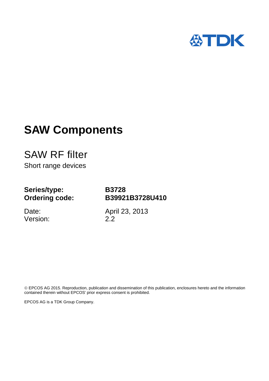

# **SAW Components**

SAW RF filter Short range devices

# **Series/type: Ordering code:**

**B3728 B39921B3728U410**

Date: Version: April 23, 2013 2.2

 EPCOS AG 2015. Reproduction, publication and dissemination of this publication, enclosures hereto and the information contained therein without EPCOS' prior express consent is prohibited.

EPCOS AG is a TDK Group Company.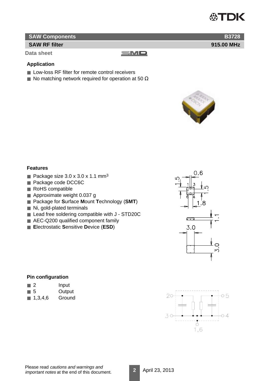

**915.00 MHz**

**B3728**

# **SAW Components**

# **SAW RF filter**

**Data sheet**

#### $\equiv$ M $\Box$

## **Application**

- Low-loss RF filter for remote control receivers
- $\blacksquare$  No matching network required for operation at 50  $\Omega$



#### **Features**

- Package size  $3.0 \times 3.0 \times 1.1 \text{ mm}^3$
- Package code DCC6C
- RoHS compatible
- Approximate weight 0.037 g
- Package for Surface Mount Technology (SMT)
- Ni, gold-plated terminals
- Lead free soldering compatible with J STD20C
- AEC-Q200 qualified component family
- **E**lectrostatic **S**ensitive **D**evice (**ESD**)



#### **Pin configuration**

|  | Input |
|--|-------|
|  |       |

- 5 Output
- 1,3,4,6 Ground

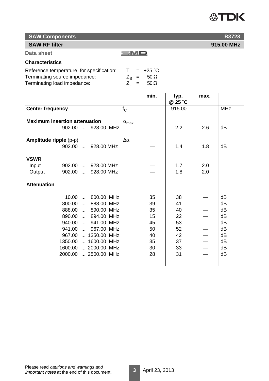# 公TDK

**SAW Components**

# **SAW RF filter**

**Data sheet**

# **Characteristics**

| Reference temperature for specification: |  | $T = +25^{\circ}C$        |
|------------------------------------------|--|---------------------------|
| Terminating source impedance:            |  | $Z_{\rm s}$ = 50 $\Omega$ |
| Terminating load impedance:              |  | $Z_1 = 50 \Omega$         |

|                               |                                      |                       | min. | typ.<br>@ 25 °C | max. |            |
|-------------------------------|--------------------------------------|-----------------------|------|-----------------|------|------------|
|                               |                                      |                       |      |                 |      | <b>MHz</b> |
| <b>Center frequency</b>       |                                      | $f_{\rm C}$           |      | 915.00          |      |            |
|                               | <b>Maximum insertion attenuation</b> |                       |      |                 |      |            |
|                               | 902.00  928.00 MHz                   | $\alpha_{\text{max}}$ |      | 2.2             | 2.6  | dB         |
|                               |                                      |                       |      |                 |      |            |
| <b>Amplitude ripple (p-p)</b> |                                      | $\Delta \alpha$       |      |                 |      |            |
|                               | 902.00  928.00 MHz                   |                       |      | 1.4             | 1.8  | dB         |
|                               |                                      |                       |      |                 |      |            |
| <b>VSWR</b>                   |                                      |                       |      |                 |      |            |
| Input                         | 902.00  928.00 MHz                   |                       |      | 1.7             | 2.0  |            |
| Output                        | 902.00  928.00 MHz                   |                       |      | 1.8             | 2.0  |            |
|                               |                                      |                       |      |                 |      |            |
| <b>Attenuation</b>            |                                      |                       |      |                 |      |            |
|                               |                                      |                       |      |                 |      |            |
|                               | 800.00 MHz<br>10.00                  |                       | 35   | 38              |      | dB         |
|                               | 800.00<br>888.00 MHz<br>$\sim$       |                       | 39   | 41              |      | dB         |
|                               | 888.00<br>890.00 MHz                 |                       | 35   | 40              |      | dB         |
|                               | 890.00  894.00 MHz                   |                       | 15   | 22              |      | dB         |
|                               | 940.00<br>941.00 MHz                 |                       | 45   | 53              |      | dB         |
|                               | 941.00<br>967.00 MHz<br>$\mathbf{L}$ |                       | 50   | 52              |      | dB         |
|                               | 967.00  1350.00 MHz                  |                       | 40   | 42              |      | dB         |
|                               | 1350.00  1600.00 MHz                 |                       | 35   | 37              |      | dB         |
|                               | 1600.00  2000.00 MHz                 |                       | 30   | 33              |      | dB         |
|                               | 2000.00  2500.00 MHz                 |                       | 28   | 31              |      | dB         |
|                               |                                      |                       |      |                 |      |            |
|                               |                                      |                       |      |                 |      |            |

 $\blacksquare$ M $\blacksquare$ 



**915.00 MHz**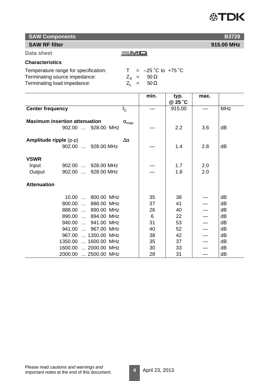# **SAW RF filter**

**Data sheet**

# **Characteristics**

| Temperature range for specification: |  | $T = -25 \degree C$ to +75 $\degree C$ |
|--------------------------------------|--|----------------------------------------|
| Terminating source impedance:        |  | $\angle$ <sub>S</sub> = 50 $\Omega$    |
| Terminating load impedance:          |  | $Z_1 = 50 \Omega$                      |

|                                      |                       | min. | typ.    | max. |            |
|--------------------------------------|-----------------------|------|---------|------|------------|
|                                      |                       |      | @ 25 °C |      |            |
| <b>Center frequency</b>              | $f_C$                 |      | 915.00  |      | <b>MHz</b> |
|                                      |                       |      |         |      |            |
| <b>Maximum insertion attenuation</b> | $\alpha_{\text{max}}$ |      |         |      |            |
| 902.00  928.00 MHz                   |                       |      | 2.2     | 3.6  | dB         |
|                                      |                       |      |         |      |            |
| <b>Amplitude ripple (p-p)</b>        | $\Delta \alpha$       |      |         |      |            |
| 902.00  928.00 MHz                   |                       |      | 1.4     | 2.8  | dB         |
|                                      |                       |      |         |      |            |
| <b>VSWR</b>                          |                       |      |         |      |            |
| 902.00  928.00 MHz<br>Input          |                       |      | 1.7     | 2.0  |            |
| Output<br>902.00  928.00 MHz         |                       |      | 1.8     | 2.0  |            |
|                                      |                       |      |         |      |            |
| <b>Attenuation</b>                   |                       |      |         |      |            |
|                                      |                       |      |         |      |            |
| 10.00  800.00 MHz                    |                       | 35   | 38      |      | dB         |
| 800.00<br>888.00 MHz                 |                       | 37   | 41      |      | dB         |
| 888.00  890.00 MHz                   |                       | 26   | 40      |      | dB         |
| 890.00  894.00 MHz                   |                       | 6    | 22      |      | dB         |
| 940.00  941.00 MHz                   |                       | 31   | 53      |      | dB         |
| 941.00  967.00 MHz                   |                       | 40   | 52      |      | dB         |
| 967.00  1350.00 MHz                  |                       | 38   | 42      |      | dB         |
| 1350.00  1600.00 MHz                 |                       | 35   | 37      |      | dB         |
| 1600.00  2000.00 MHz                 |                       | 30   | 33      |      | dB         |
|                                      |                       | 28   |         |      | dB         |
| 2000.00  2500.00 MHz                 |                       |      | 31      |      |            |

 $\equiv$ M $\Box$ 

**B3728**

**915.00 MHz**

**公TDK** 

**4** April 23, 2013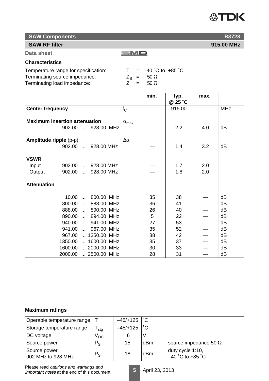# **公TDK**

# **SAW Components**

# **SAW RF filter**

**Data sheet**

# **Characteristics**

| Temperature range for specification: |  | $= -40$ °C to +85 °C      |
|--------------------------------------|--|---------------------------|
| Terminating source impedance:        |  | $Z_{\rm S}$ = 50 $\Omega$ |
| Terminating load impedance:          |  | $Z_1 = 50 \Omega$         |

|                                                            |                                                                                                                           |                       | min.                            | typ.<br>@ 25 °C                  | max.       |                                  |
|------------------------------------------------------------|---------------------------------------------------------------------------------------------------------------------------|-----------------------|---------------------------------|----------------------------------|------------|----------------------------------|
| <b>Center frequency</b>                                    |                                                                                                                           | $f_{\rm C}$           |                                 | 915.00                           |            | <b>MHz</b>                       |
| <b>Maximum insertion attenuation</b><br>902.00  928.00 MHz |                                                                                                                           | $\alpha_{\text{max}}$ |                                 | 2.2                              | 4.0        | dB                               |
| <b>Amplitude ripple (p-p)</b>                              | 902.00  928.00 MHz                                                                                                        | $\Delta \alpha$       |                                 | 1.4                              | 3.2        | dB                               |
| <b>VSWR</b><br>Input<br>Output                             | 902.00  928.00 MHz<br>902.00  928.00 MHz                                                                                  |                       |                                 | 1.7<br>1.8                       | 2.0<br>2.0 |                                  |
| <b>Attenuation</b>                                         |                                                                                                                           |                       |                                 |                                  |            |                                  |
| 940.00                                                     | 10.00  800.00 MHz<br>800.00  888.00 MHz<br>888.00  890.00 MHz<br>890.00  894.00 MHz<br>941.00 MHz<br>941.00<br>967.00 MHz |                       | 35<br>36<br>26<br>5<br>27<br>35 | 38<br>41<br>40<br>22<br>53<br>52 |            | dB<br>dB<br>dB<br>dB<br>dB<br>dB |
|                                                            | 967.00  1350.00 MHz                                                                                                       |                       | 38                              | 42                               |            | dB                               |
|                                                            | 1350.00  1600.00 MHz                                                                                                      |                       | 35                              | 37                               |            | dB                               |
|                                                            | 1600.00  2000.00 MHz<br>2000.00  2500.00 MHz                                                                              |                       | 30<br>28                        | 33<br>31                         |            | dB<br>dB                         |

 $\equiv$ M $\Box$ 

# **Maximum ratings**

| Operable temperature range         |                            | $-45/+125$ | $^{\circ}$ C |                                        |
|------------------------------------|----------------------------|------------|--------------|----------------------------------------|
| Storage temperature range          | stg                        | $-45/+125$ | $^{\circ}$ C |                                        |
| DC voltage                         | $\mathsf{V}_{\mathsf{DC}}$ | 6          |              |                                        |
| Source power                       | $P_S$                      | 15         | dBm          | source impedance 50 $\Omega$           |
| Source power<br>902 MHz to 928 MHz | $P_S$                      | 18         | dBm          | duty cycle 1:10,<br>$-40$ °C to +85 °C |

Please read cautions and warnings and important notes at the end of this document.

**5** April 23, 2013



**915.00 MHz**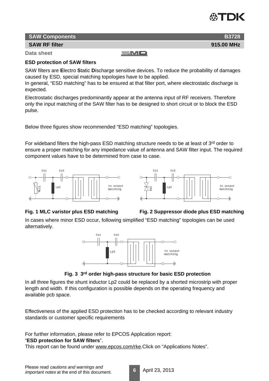

**915.00 MHz**

**B3728**

## **SAW Components**

## **SAW RF filter**

**Data sheet**

# $\equiv$ MD

## **ESD protection of SAW filters**

SAW filters are **E**lectro **S**tatic **D**ischarge sensitive devices. To reduce the probability of damages caused by ESD, special matching topologies have to be applied.

In general, "ESD matching" has to be ensured at that filter port, where electrostatic discharge is expected.

Electrostatic discharges predominantly appear at the antenna input of RF receivers. Therefore only the input matching of the SAW filter has to be designed to short circuit or to block the ESD pulse.

Below three figures show recommended "ESD matching" topologies.

For wideband filters the high-pass ESD matching structure needs to be at least of 3rd order to ensure a proper matching for any impedance value of antenna and SAW filter input. The required component values have to be determined from case to case.







In cases where minor ESD occur, following simplified "ESD matching" topologies can be used alternatively.



# **Fig. 3 3rd order high-pass structure for basic ESD protection**

In all three figures the shunt inductor Lp2 could be replaced by a shorted microstrip with proper length and width. If this configuration is possible depends on the operating frequency and available pcb space.

Effectiveness of the applied ESD protection has to be checked according to relevant industry standards or customer specific requirements

For further information, please refer to EPCOS Application report:

#### "**ESD protection for SAW filters**".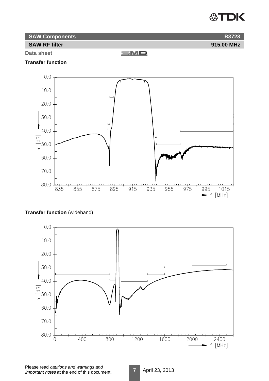# **公TDK**

| <b>SAW Components</b> |            |
|-----------------------|------------|
| <b>SAW RF filter</b>  | 915.00 MHz |

**Data sheet**

SMD

# **Transfer function**



# **Transfer function** (wideband)

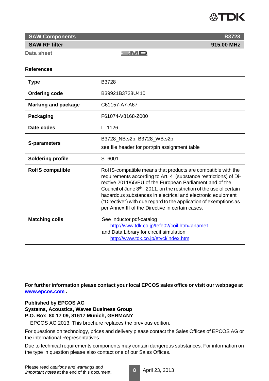# **ASTDK**

**SAW Components**

#### **SAW RF filter**

**Data sheet**

SMO

#### **References**

| <b>Type</b>                | B3728                                                                                                                                                                                                                                                                                                                                                                                                                                                                   |
|----------------------------|-------------------------------------------------------------------------------------------------------------------------------------------------------------------------------------------------------------------------------------------------------------------------------------------------------------------------------------------------------------------------------------------------------------------------------------------------------------------------|
| <b>Ordering code</b>       | B39921B3728U410                                                                                                                                                                                                                                                                                                                                                                                                                                                         |
| <b>Marking and package</b> | C61157-A7-A67                                                                                                                                                                                                                                                                                                                                                                                                                                                           |
| Packaging                  | F61074-V8168-Z000                                                                                                                                                                                                                                                                                                                                                                                                                                                       |
| Date codes                 | L 1126                                                                                                                                                                                                                                                                                                                                                                                                                                                                  |
| <b>S-parameters</b>        | B3728_NB.s2p, B3728_WB.s2p<br>see file header for port/pin assignment table                                                                                                                                                                                                                                                                                                                                                                                             |
| <b>Soldering profile</b>   | S_6001                                                                                                                                                                                                                                                                                                                                                                                                                                                                  |
| <b>RoHS compatible</b>     | RoHS-compatible means that products are compatible with the<br>requirements according to Art. 4 (substance restrictions) of Di-<br>rective 2011/65/EU of the European Parliament and of the<br>Council of June 8 <sup>th</sup> , 2011, on the restriction of the use of certain<br>hazardous substances in electrical and electronic equipment<br>("Directive") with due regard to the application of exemptions as<br>per Annex III of the Directive in certain cases. |
| <b>Matching coils</b>      | See Inductor pdf-catalog<br>http://www.tdk.co.jp/tefe02/coil.htm#aname1<br>and Data Library for circuit simulation<br>http://www.tdk.co.jp/etvcl/index.htm                                                                                                                                                                                                                                                                                                              |

**For further information please contact your local EPCOS sales office or visit our webpage at www.epcos.com .**

## **Published by EPCOS AG Systems, Acoustics, Waves Business Group P.O. Box 80 17 09, 81617 Munich, GERMANY**

EPCOS AG 2013. This brochure replaces the previous edition.

For questions on technology, prices and delivery please contact the Sales Offices of EPCOS AG or the international Representatives.

Due to technical requirements components may contain dangerous substances. For information on the type in question please also contact one of our Sales Offices.

**8** April 23, 2013



**915.00 MHz**